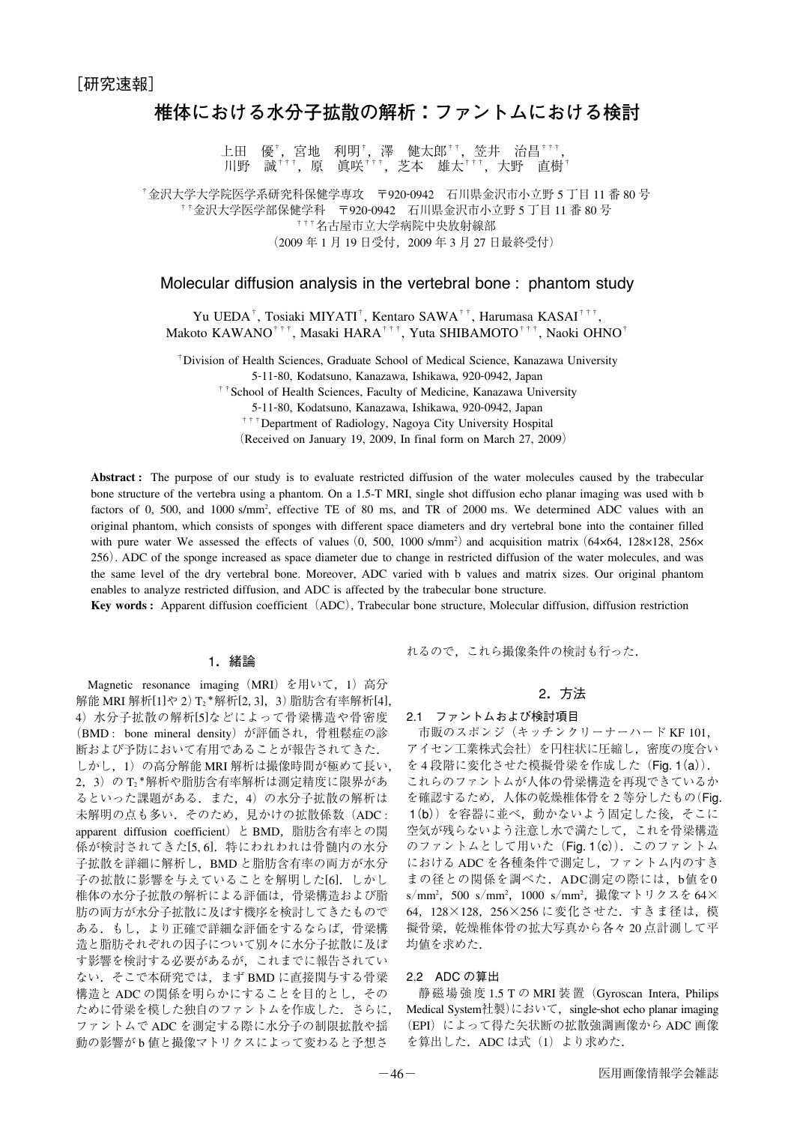# **椎体における水分子拡散の解析:ファントムにおける検討**

上田 優†,宮地 利明†,澤 健太郎††,笠井 治昌†††<br>川野 誠†††,原 眞咲†††,芝本 雄太†††,大野 直樹 川野 誠†††,原 眞咲†††,芝本 雄太†††,大野 直樹†

†金沢大学大学院医学系研究科保健学専攻 〒920-0942 石川県金沢市小立野 5 丁目 11 番 80 号 ††金沢大学医学部保健学科 〒920-0942 石川県金沢市小立野 5 丁目 11 番 80 号 †††名古屋市立大学病院中央放射線部 (2009 年 1 月 19 日受付,2009 年 3 月 27 日最終受付)

#### Molecular diffusion analysis in the vertebral bone : phantom study

Yu UEDA†, Tosiaki MIYATI†, Kentaro SAWA††, Harumasa KASAI†††, Makoto KAWANO†††, Masaki HARA†††, Yuta SHIBAMOTO†††, Naoki OHNO†

†Division of Health Sciences, Graduate School of Medical Science, Kanazawa University

5-11-80, Kodatsuno, Kanazawa, Ishikawa, 920-0942, Japan

<sup>††</sup>School of Health Sciences, Faculty of Medicine, Kanazawa University

5-11-80, Kodatsuno, Kanazawa, Ishikawa, 920-0942, Japan

†††Department of Radiology, Nagoya City University Hospital

(Received on January 19, 2009, In final form on March 27, 2009)

**Abstract :** The purpose of our study is to evaluate restricted diffusion of the water molecules caused by the trabecular bone structure of the vertebra using a phantom. On a 1.5-T MRI, single shot diffusion echo planar imaging was used with b factors of 0, 500, and 1000 s/mm<sup>2</sup>, effective TE of 80 ms, and TR of 2000 ms. We determined ADC values with an original phantom, which consists of sponges with different space diameters and dry vertebral bone into the container filled with pure water We assessed the effects of values  $(0, 500, 1000 \text{ s/mm}^2)$  and acquisition matrix  $(64 \times 64, 128 \times 128, 256 \times$ 256). ADC of the sponge increased as space diameter due to change in restricted diffusion of the water molecules, and was the same level of the dry vertebral bone. Moreover, ADC varied with b values and matrix sizes. Our original phantom enables to analyze restricted diffusion, and ADC is affected by the trabecular bone structure.

**Key words :** Apparent diffusion coefficient (ADC), Trabecular bone structure, Molecular diffusion, diffusion restriction

#### 1.緒論

Magnetic resonance imaging (MRI) を用いて, 1) 高分 解能 MRI 解析[1]や 2) T2 \*解析[2, 3],3) 脂肪含有率解析[4], 4)水分子拡散の解析[5]などによって骨梁構造や骨密度 (BMD : bone mineral density)が評価され,骨粗鬆症の診 断および予防において有用であることが報告されてきた. しかし,1)の高分解能 MRI 解析は撮像時間が極めて長い, 2,3)の T2 \*解析や脂肪含有率解析は測定精度に限界があ るといった課題がある.また,4)の水分子拡散の解析は 未解明の点も多い. そのため、見かけの拡散係数(ADC: apparent diffusion coefficient) と BMD, 脂肪含有率との関 係が検討されてきた[5,6]. 特にわれわれは骨髄内の水分 子拡散を詳細に解析し,BMD と脂肪含有率の両方が水分 子の拡散に影響を与えていることを解明した[6]. しかし 椎体の水分子拡散の解析による評価は,骨梁構造および脂 肪の両方が水分子拡散に及ぼす機序を検討してきたもので ある.もし,より正確で詳細な評価をするならば,骨梁構 造と脂肪それぞれの因子について別々に水分子拡散に及ぼ す影響を検討する必要があるが,これまでに報告されてい ない. そこで本研究では、まず BMD に直接関与する骨梁 構造と ADC の関係を明らかにすることを目的とし,その ために骨梁を模した独自のファントムを作成した. さらに, ファントムで ADC を測定する際に水分子の制限拡散や揺 動の影響が b 値と撮像マトリクスによって変わると予想さ

れるので,これら撮像条件の検討も行った.

## 2.方法

### 2.1 ファントムおよび検討項目

市販のスポンジ(キッチンクリーナーハード KF 101, アイセン工業株式会社)を円柱状に圧縮し,密度の度合い を 4 段階に変化させた模擬骨梁を作成した(Fig. 1(a)). これらのファントムが人体の骨梁構造を再現できているか を確認するため,人体の乾燥椎体骨を 2 等分したもの(Fig. 1(b))を容器に並べ,動かないよう固定した後,そこに 空気が残らないよう注意し水で満たして,これを骨梁構造 のファントムとして用いた (Fig. 1(c)). このファントム における ADC を各種条件で測定し,ファントム内のすき まの径との関係を調べた.ADC測定の際には,b値を0 s/mm<sup>2</sup>, 500 s/mm<sup>2</sup>, 1000 s/mm<sup>2</sup>, 撮像マトリクスを 64× 64,128×128,256×256 に変化させた.すきま径は,模 擬骨梁,乾燥椎体骨の拡大写真から各々 20 点計測して平 均値を求めた.

#### 2.2 ADC の算出

静磁場強度 1.5 T の MRI 装置(Gyroscan Intera, Philips Medical System社製)において, single-shot echo planar imaging (EPI)によって得た矢状断の拡散強調画像から ADC 画像 を算出した. ADC は式 (1) より求めた.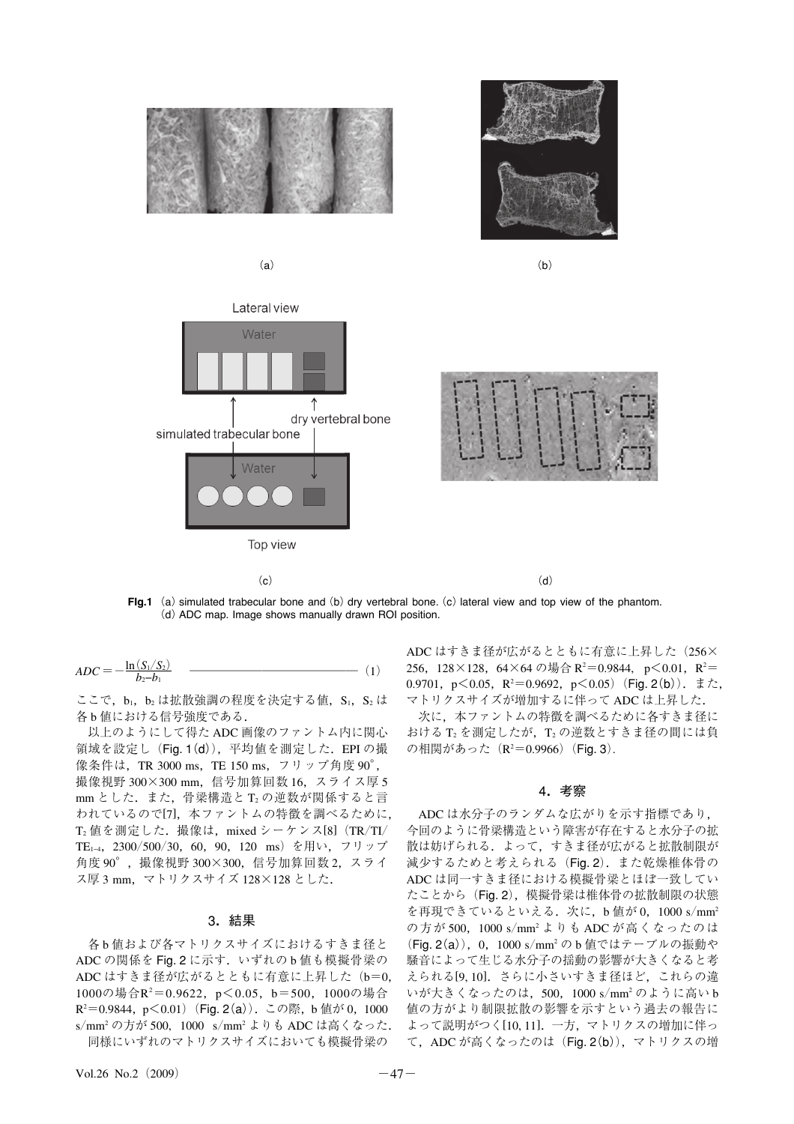



 $(a)$  (b)







FIg.1 (a) simulated trabecular bone and (b) dry vertebral bone. (c) lateral view and top view of the phantom. (d)ADC map. Image shows manually drawn ROI position.

 $(c)$  (d)

$$
ADC = -\frac{\ln(S_1/S_2)}{b_2 - b_1} \quad (1)
$$

ここで,  $b_1$ ,  $b_2$ は拡散強調の程度を決定する値,  $S_1$ ,  $S_2$ は 各 b 値における信号強度である.

以上のようにして得た ADC 画像のファントム内に関心 領域を設定し (Fig. 1(d)), 平均値を測定した. EPI の撮 像条件は,TR 3000 ms,TE 150 ms,フリップ角度 90°, 撮像視野 300×300 mm,信号加算回数 16,スライス厚 5 mm とした. また. 骨梁構造と T, の逆数が関係すると言 われているので[7],本ファントムの特徴を調べるために,  $T_2$ 値を測定した. 撮像は, mixed シーケンス[8]  $(TR/TI)$ TE1−4,2300/500/30,60,90,120 ms)を用い,フリップ 角度 90°,撮像視野 300×300,信号加算回数 2,スライ ス厚 3 mm,マトリクスサイズ 128×128 とした.

#### 3.結果

各 b 値および各マトリクスサイズにおけるすきま径と ADCの関係を Fig. 2 に示す. いずれの b 値も模擬骨梁の ADC はすきま径が広がるとともに有意に上昇した (b=0, 1000の場合R2 =0.9622,p<0.05,b=500,1000の場合 R<sup>2</sup>=0.9844, p<0.01)(Fig. 2(a)). この際, b 値が 0, 1000 s/mm2 の方が 500, 1000 s/mm2 よりも ADC は高くなった. 同様にいずれのマトリクスサイズにおいても模擬骨梁の

ADC はすきま径が広がるとともに有意に上昇した (256× 256, 128×128, 64×64の場合 R<sup>2</sup>=0.9844, p<0.01, R<sup>2</sup>= 0.9701, p≤0.05, R<sup>2</sup>=0.9692, p≤0.05)(Fig. 2(b)). また, マトリクスサイズが増加するに伴って ADC は上昇した.

次に,本ファントムの特徴を調べるために各すきま径に おける T2 を測定したが, T2 の逆数とすきま径の間には負 の相関があった(R<sup>2</sup>=0.9966)(Fig. 3).

#### 4.考察

ADC は水分子のランダムな広がりを示す指標であり, 今回のように骨梁構造という障害が存在すると水分子の拡 散は妨げられる.よって,すきま径が広がると拡散制限が 減少するためと考えられる(Fig. 2).また乾燥椎体骨の ADC は同一すきま径における模擬骨梁とほぼ一致してい たことから (Fig. 2), 模擬骨梁は椎体骨の拡散制限の状態 を再現できているといえる. 次に、b 値が 0, 1000 s/mm<sup>2</sup> の方が 500,1000 s/mm2 よりも ADC が高くなったのは (Fig. 2(a)),0,1000 s/mm2 の b 値ではテーブルの振動や 騒音によって生じる水分子の揺動の影響が大きくなると考 えられる[9, 10].さらに小さいすきま径ほど,これらの違 いが大きくなったのは,500,1000 s/mm2 のように高い b 値の方がより制限拡散の影響を示すという過去の報告に よって説明がつく[10, 11].一方,マトリクスの増加に伴っ て,ADC が高くなったのは(Fig. 2(b)),マトリクスの増